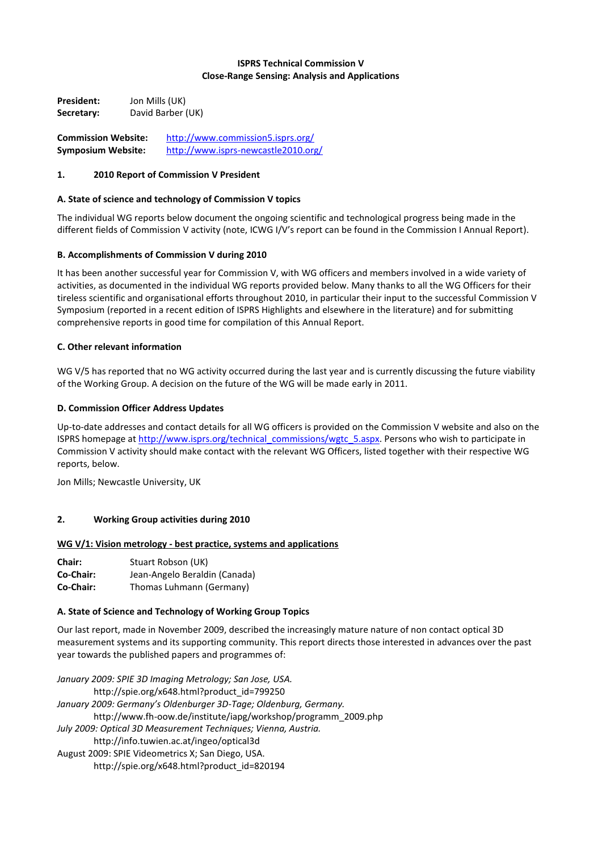## **ISPRS Technical Commission V Close-Range Sensing: Analysis and Applications**

**President:** Jon Mills (UK) **Secretary:** David Barber (UK)

**Commission Website:** <http://www.commission5.isprs.org/> **Symposium Website:** <http://www.isprs-newcastle2010.org/>

## **1. 2010 Report of Commission V President**

## **A. State of science and technology of Commission V topics**

The individual WG reports below document the ongoing scientific and technological progress being made in the different fields of Commission V activity (note, ICWG I/V's report can be found in the Commission I Annual Report).

## **B. Accomplishments of Commission V during 2010**

It has been another successful year for Commission V, with WG officers and members involved in a wide variety of activities, as documented in the individual WG reports provided below. Many thanks to all the WG Officers for their tireless scientific and organisational efforts throughout 2010, in particular their input to the successful Commission V Symposium (reported in a recent edition of ISPRS Highlights and elsewhere in the literature) and for submitting comprehensive reports in good time for compilation of this Annual Report.

### **C. Other relevant information**

WG V/5 has reported that no WG activity occurred during the last year and is currently discussing the future viability of the Working Group. A decision on the future of the WG will be made early in 2011.

### **D. Commission Officer Address Updates**

Up-to-date addresses and contact details for all WG officers is provided on the Commission V website and also on the ISPRS homepage at [http://www.isprs.org/technical\\_commissions/wgtc\\_5.aspx.](http://www.isprs.org/technical_commissions/wgtc_5.aspx) Persons who wish to participate in Commission V activity should make contact with the relevant WG Officers, listed together with their respective WG reports, below.

Jon Mills; Newcastle University, UK

### **2. Working Group activities during 2010**

### **WG V/1: Vision metrology - best practice, systems and applications**

| Chair:    | Stuart Robson (UK)            |
|-----------|-------------------------------|
| Co-Chair: | Jean-Angelo Beraldin (Canada) |
| Co-Chair: | Thomas Luhmann (Germany)      |

### **A. State of Science and Technology of Working Group Topics**

Our last report, made in November 2009, described the increasingly mature nature of non contact optical 3D measurement systems and its supporting community. This report directs those interested in advances over the past year towards the published papers and programmes of:

*January 2009: SPIE 3D Imaging Metrology; San Jose, USA.* http://spie.org/x648.html?product\_id=799250 *January 2009: Germany's Oldenburger 3D-Tage; Oldenburg, Germany.*  http://www.fh-oow.de/institute/iapg/workshop/programm\_2009.php *July 2009: Optical 3D Measurement Techniques; Vienna, Austria.* http://info.tuwien.ac.at/ingeo/optical3d August 2009: SPIE Videometrics X; San Diego, USA. http://spie.org/x648.html?product\_id=820194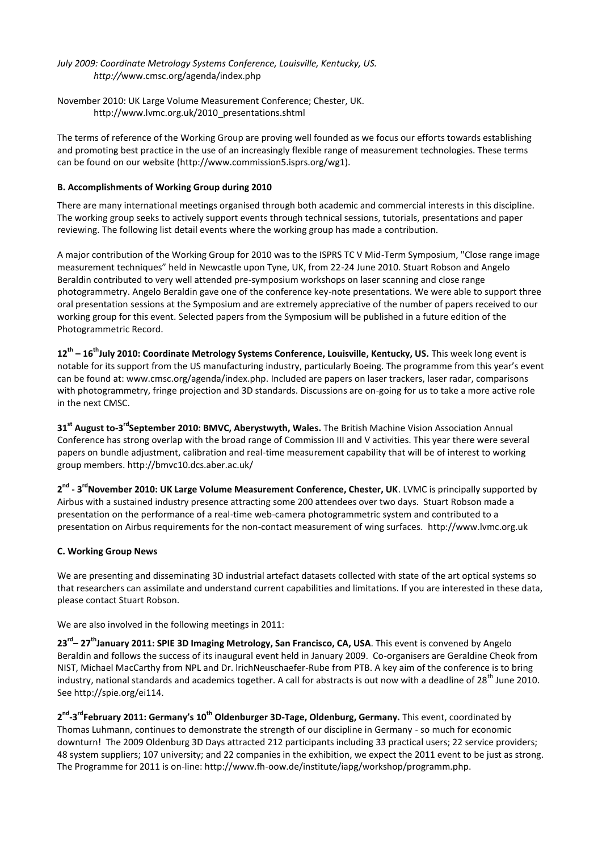# *July 2009: Coordinate Metrology Systems Conference, Louisville, Kentucky, US. http://*www.cmsc.org/agenda/index.php

November 2010: UK Large Volume Measurement Conference; Chester, UK. http://www.lvmc.org.uk/2010\_presentations.shtml

The terms of reference of the Working Group are proving well founded as we focus our efforts towards establishing and promoting best practice in the use of an increasingly flexible range of measurement technologies. These terms can be found on our website (http://www.commission5.isprs.org/wg1).

# **B. Accomplishments of Working Group during 2010**

There are many international meetings organised through both academic and commercial interests in this discipline. The working group seeks to actively support events through technical sessions, tutorials, presentations and paper reviewing. The following list detail events where the working group has made a contribution.

A major contribution of the Working Group for 2010 was to the ISPRS TC V Mid-Term Symposium, "Close range image measurement techniques" held in Newcastle upon Tyne, UK, from 22-24 June 2010. Stuart Robson and Angelo Beraldin contributed to very well attended pre-symposium workshops on laser scanning and close range photogrammetry. Angelo Beraldin gave one of the conference key-note presentations. We were able to support three oral presentation sessions at the Symposium and are extremely appreciative of the number of papers received to our working group for this event. Selected papers from the Symposium will be published in a future edition of the Photogrammetric Record.

**12th – 16thJuly 2010: Coordinate Metrology Systems Conference, Louisville, Kentucky, US.** This week long event is notable for its support from the US manufacturing industry, particularly Boeing. The programme from this year's event can be found at: www.cmsc.org/agenda/index.php. Included are papers on laser trackers, laser radar, comparisons with photogrammetry, fringe projection and 3D standards. Discussions are on-going for us to take a more active role in the next CMSC.

**31<sup>st</sup> August to-3<sup>rd</sup>September 2010: BMVC, Aberystwyth, Wales. The British Machine Vision Association Annual** Conference has strong overlap with the broad range of Commission III and V activities. This year there were several papers on bundle adjustment, calibration and real-time measurement capability that will be of interest to working group members. http://bmvc10.dcs.aber.ac.uk/

2<sup>nd</sup> - 3<sup>rd</sup>November 2010: UK Large Volume Measurement Conference, Chester, UK. LVMC is principally supported by Airbus with a sustained industry presence attracting some 200 attendees over two days. Stuart Robson made a presentation on the performance of a real-time web-camera photogrammetric system and contributed to a presentation on Airbus requirements for the non-contact measurement of wing surfaces. http://www.lvmc.org.uk

### **C. Working Group News**

We are presenting and disseminating 3D industrial artefact datasets collected with state of the art optical systems so that researchers can assimilate and understand current capabilities and limitations. If you are interested in these data, please contact Stuart Robson.

We are also involved in the following meetings in 2011:

**23rd – 27thJanuary 2011: SPIE 3D Imaging Metrology, San Francisco, CA, USA**. This event is convened by Angelo Beraldin and follows the success of its inaugural event held in January 2009. Co-organisers are Geraldine Cheok from NIST, Michael MacCarthy from NPL and Dr. lrichNeuschaefer-Rube from PTB. A key aim of the conference is to bring industry, national standards and academics together. A call for abstracts is out now with a deadline of 28<sup>th</sup> June 2010. See http://spie.org/ei114.

**2 nd -3 rdFebruary 2011: Germany's 10th Oldenburger 3D-Tage, Oldenburg, Germany.** This event, coordinated by Thomas Luhmann, continues to demonstrate the strength of our discipline in Germany - so much for economic downturn! The 2009 Oldenburg 3D Days attracted 212 participants including 33 practical users; 22 service providers; 48 system suppliers; 107 university; and 22 companies in the exhibition, we expect the 2011 event to be just as strong. The Programme for 2011 is on-line: http://www.fh-oow.de/institute/iapg/workshop/programm.php.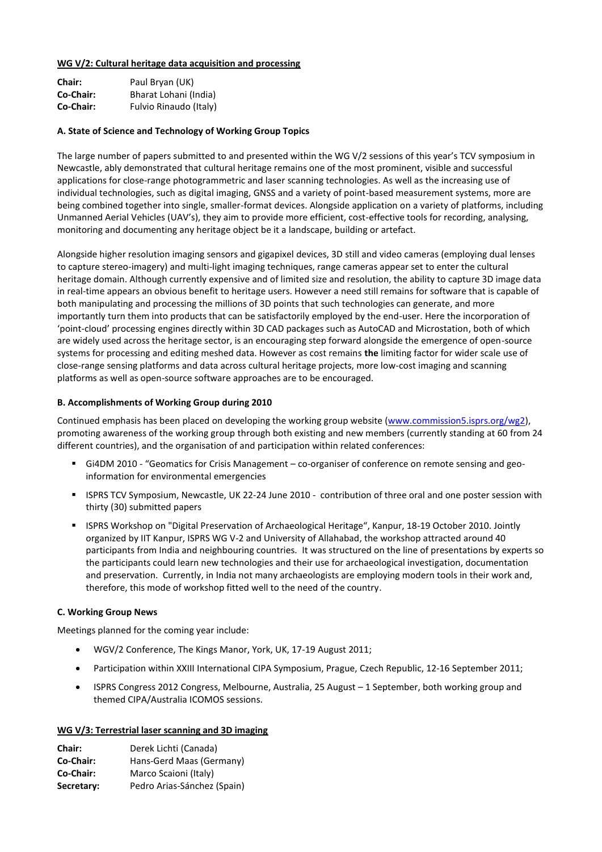### **WG V/2: Cultural heritage data acquisition and processing**

| Chair:    | Paul Bryan (UK)        |
|-----------|------------------------|
| Co-Chair: | Bharat Lohani (India)  |
| Co-Chair: | Fulvio Rinaudo (Italy) |

## **A. State of Science and Technology of Working Group Topics**

The large number of papers submitted to and presented within the WG V/2 sessions of this year's TCV symposium in Newcastle, ably demonstrated that cultural heritage remains one of the most prominent, visible and successful applications for close-range photogrammetric and laser scanning technologies. As well as the increasing use of individual technologies, such as digital imaging, GNSS and a variety of point-based measurement systems, more are being combined together into single, smaller-format devices. Alongside application on a variety of platforms, including Unmanned Aerial Vehicles (UAV's), they aim to provide more efficient, cost-effective tools for recording, analysing, monitoring and documenting any heritage object be it a landscape, building or artefact.

Alongside higher resolution imaging sensors and gigapixel devices, 3D still and video cameras (employing dual lenses to capture stereo-imagery) and multi-light imaging techniques, range cameras appear set to enter the cultural heritage domain. Although currently expensive and of limited size and resolution, the ability to capture 3D image data in real-time appears an obvious benefit to heritage users. However a need still remains for software that is capable of both manipulating and processing the millions of 3D points that such technologies can generate, and more importantly turn them into products that can be satisfactorily employed by the end-user. Here the incorporation of 'point-cloud' processing engines directly within 3D CAD packages such as AutoCAD and Microstation, both of which are widely used across the heritage sector, is an encouraging step forward alongside the emergence of open-source systems for processing and editing meshed data. However as cost remains **the** limiting factor for wider scale use of close-range sensing platforms and data across cultural heritage projects, more low-cost imaging and scanning platforms as well as open-source software approaches are to be encouraged.

## **B. Accomplishments of Working Group during 2010**

Continued emphasis has been placed on developing the working group website [\(www.commission5.isprs.org/wg2\)](http://www.commission5.isprs.org/wg2), promoting awareness of the working group through both existing and new members (currently standing at 60 from 24 different countries), and the organisation of and participation within related conferences:

- Gi4DM 2010 "Geomatics for Crisis Management co-organiser of conference on remote sensing and geoinformation for environmental emergencies
- ISPRS TCV Symposium, Newcastle, UK 22-24 June 2010 contribution of three oral and one poster session with thirty (30) submitted papers
- ISPRS Workshop on "Digital Preservation of Archaeological Heritage", Kanpur, 18-19 October 2010. Jointly organized by IIT Kanpur, ISPRS WG V-2 and University of Allahabad, the workshop attracted around 40 participants from India and neighbouring countries. It was structured on the line of presentations by experts so the participants could learn new technologies and their use for archaeological investigation, documentation and preservation. Currently, in India not many archaeologists are employing modern tools in their work and, therefore, this mode of workshop fitted well to the need of the country.

# **C. Working Group News**

Meetings planned for the coming year include:

- WGV/2 Conference, The Kings Manor, York, UK, 17-19 August 2011;
- Participation within XXIII International CIPA Symposium, Prague, Czech Republic, 12-16 September 2011;
- ISPRS Congress 2012 Congress, Melbourne, Australia, 25 August 1 September, both working group and themed CIPA/Australia ICOMOS sessions.

### **WG V/3: Terrestrial laser scanning and 3D imaging**

| Chair:     | Derek Lichti (Canada)       |
|------------|-----------------------------|
| Co-Chair:  | Hans-Gerd Maas (Germany)    |
| Co-Chair:  | Marco Scaioni (Italy)       |
| Secretary: | Pedro Arias-Sánchez (Spain) |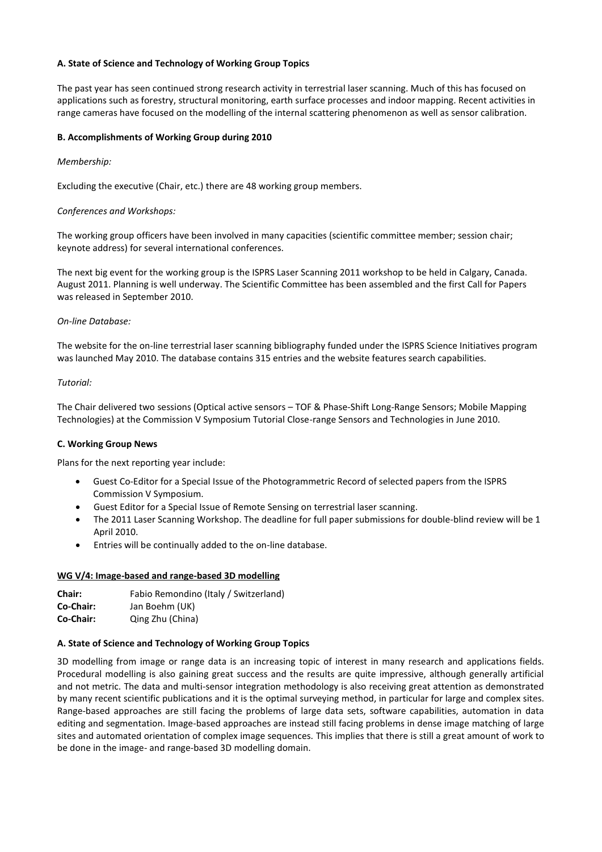### **A. State of Science and Technology of Working Group Topics**

The past year has seen continued strong research activity in terrestrial laser scanning. Much of this has focused on applications such as forestry, structural monitoring, earth surface processes and indoor mapping. Recent activities in range cameras have focused on the modelling of the internal scattering phenomenon as well as sensor calibration.

## **B. Accomplishments of Working Group during 2010**

## *Membership:*

Excluding the executive (Chair, etc.) there are 48 working group members.

## *Conferences and Workshops:*

The working group officers have been involved in many capacities (scientific committee member; session chair; keynote address) for several international conferences.

The next big event for the working group is the ISPRS Laser Scanning 2011 workshop to be held in Calgary, Canada. August 2011. Planning is well underway. The Scientific Committee has been assembled and the first Call for Papers was released in September 2010.

### *On-line Database:*

The website for the on-line terrestrial laser scanning bibliography funded under the ISPRS Science Initiatives program was launched May 2010. The database contains 315 entries and the website features search capabilities.

### *Tutorial:*

The Chair delivered two sessions (Optical active sensors – TOF & Phase-Shift Long-Range Sensors; Mobile Mapping Technologies) at the Commission V Symposium Tutorial Close-range Sensors and Technologies in June 2010.

### **C. Working Group News**

Plans for the next reporting year include:

- Guest Co-Editor for a Special Issue of the Photogrammetric Record of selected papers from the ISPRS Commission V Symposium.
- Guest Editor for a Special Issue of Remote Sensing on terrestrial laser scanning.
- The 2011 Laser Scanning Workshop. The deadline for full paper submissions for double-blind review will be 1 April 2010.
- Entries will be continually added to the on-line database.

### **WG V/4: Image-based and range-based 3D modelling**

| <b>Chair:</b> | Fabio Remondino (Italy / Switzerland) |
|---------------|---------------------------------------|
| Co-Chair:     | Jan Boehm (UK)                        |
| Co-Chair:     | Qing Zhu (China)                      |

### **A. State of Science and Technology of Working Group Topics**

3D modelling from image or range data is an increasing topic of interest in many research and applications fields. Procedural modelling is also gaining great success and the results are quite impressive, although generally artificial and not metric. The data and multi-sensor integration methodology is also receiving great attention as demonstrated by many recent scientific publications and it is the optimal surveying method, in particular for large and complex sites. Range-based approaches are still facing the problems of large data sets, software capabilities, automation in data editing and segmentation. Image-based approaches are instead still facing problems in dense image matching of large sites and automated orientation of complex image sequences. This implies that there is still a great amount of work to be done in the image- and range-based 3D modelling domain.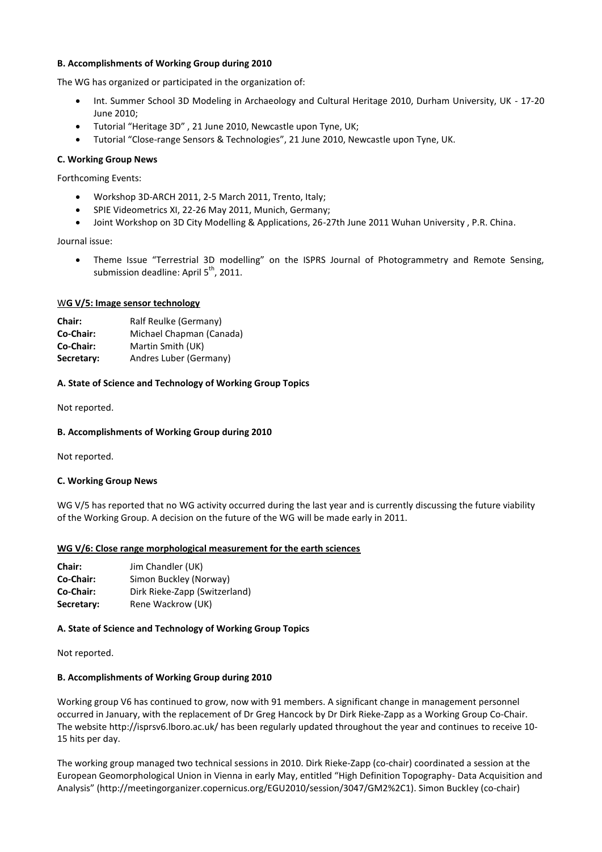#### **B. Accomplishments of Working Group during 2010**

The WG has organized or participated in the organization of:

- Int. Summer School 3D Modeling in Archaeology and Cultural Heritage 2010, Durham University, UK 17-20 June 2010;
- Tutorial "Heritage 3D" , 21 June 2010, Newcastle upon Tyne, UK;
- Tutorial "Close-range Sensors & Technologies", 21 June 2010, Newcastle upon Tyne, UK.

#### **C. Working Group News**

Forthcoming Events:

- Workshop 3D-ARCH 2011, 2-5 March 2011, Trento, Italy;
- SPIE Videometrics XI, 22-26 May 2011, Munich, Germany;
- Joint Workshop on 3D City Modelling & Applications, 26-27th June 2011 Wuhan University , P.R. China.

#### Journal issue:

 Theme Issue "Terrestrial 3D modelling" on the ISPRS Journal of Photogrammetry and Remote Sensing, submission deadline: April  $5<sup>th</sup>$ , 2011.

#### W**G V/5: Image sensor technology**

| Chair:     | Ralf Reulke (Germany)    |
|------------|--------------------------|
| Co-Chair:  | Michael Chapman (Canada) |
| Co-Chair:  | Martin Smith (UK)        |
| Secretary: | Andres Luber (Germany)   |

#### **A. State of Science and Technology of Working Group Topics**

Not reported.

### **B. Accomplishments of Working Group during 2010**

Not reported.

#### **C. Working Group News**

WG V/5 has reported that no WG activity occurred during the last year and is currently discussing the future viability of the Working Group. A decision on the future of the WG will be made early in 2011.

#### **WG V/6: Close range morphological measurement for the earth sciences**

| <b>Chair:</b> | Jim Chandler (UK)             |
|---------------|-------------------------------|
| Co-Chair:     | Simon Buckley (Norway)        |
| Co-Chair:     | Dirk Rieke-Zapp (Switzerland) |
| Secretary:    | Rene Wackrow (UK)             |

#### **A. State of Science and Technology of Working Group Topics**

Not reported.

#### **B. Accomplishments of Working Group during 2010**

Working group V6 has continued to grow, now with 91 members. A significant change in management personnel occurred in January, with the replacement of Dr Greg Hancock by Dr Dirk Rieke-Zapp as a Working Group Co-Chair. The website http://isprsv6.lboro.ac.uk/ has been regularly updated throughout the year and continues to receive 10- 15 hits per day.

The working group managed two technical sessions in 2010. Dirk Rieke-Zapp (co-chair) coordinated a session at the European Geomorphological Union in Vienna in early May, entitled "High Definition Topography- Data Acquisition and Analysis" (http://meetingorganizer.copernicus.org/EGU2010/session/3047/GM2%2C1). Simon Buckley (co-chair)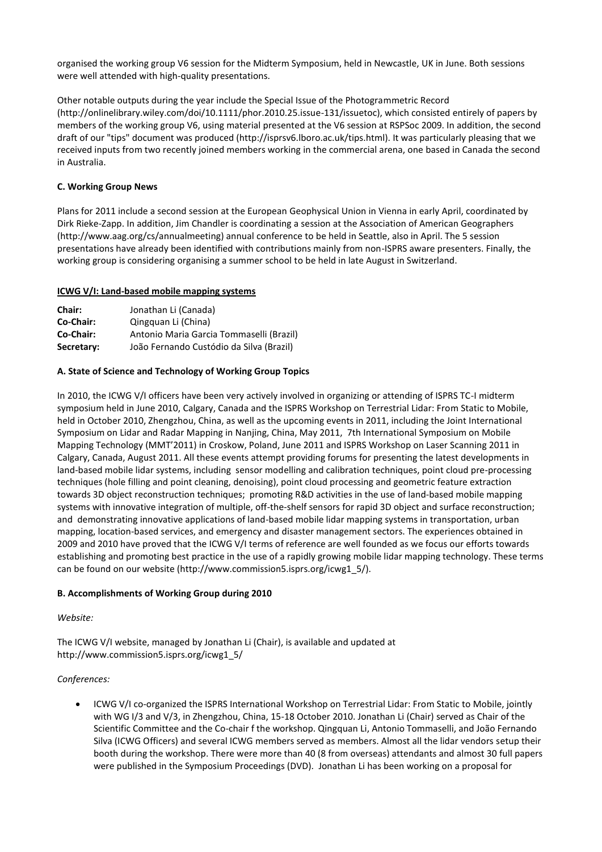organised the working group V6 session for the Midterm Symposium, held in Newcastle, UK in June. Both sessions were well attended with high-quality presentations.

Other notable outputs during the year include the Special Issue of the Photogrammetric Record (http://onlinelibrary.wiley.com/doi/10.1111/phor.2010.25.issue-131/issuetoc), which consisted entirely of papers by members of the working group V6, using material presented at the V6 session at RSPSoc 2009. In addition, the second draft of our "tips" document was produced (http://isprsv6.lboro.ac.uk/tips.html). It was particularly pleasing that we received inputs from two recently joined members working in the commercial arena, one based in Canada the second in Australia.

## **C. Working Group News**

Plans for 2011 include a second session at the European Geophysical Union in Vienna in early April, coordinated by Dirk Rieke-Zapp. In addition, Jim Chandler is coordinating a session at the Association of American Geographers (http://www.aag.org/cs/annualmeeting) annual conference to be held in Seattle, also in April. The 5 session presentations have already been identified with contributions mainly from non-ISPRS aware presenters. Finally, the working group is considering organising a summer school to be held in late August in Switzerland.

### **ICWG V/I: Land-based mobile mapping systems**

| <b>Chair:</b> | Jonathan Li (Canada)                     |
|---------------|------------------------------------------|
| Co-Chair:     | Qingquan Li (China)                      |
| Co-Chair:     | Antonio Maria Garcia Tommaselli (Brazil) |
| Secretary:    | João Fernando Custódio da Silva (Brazil) |

### **A. State of Science and Technology of Working Group Topics**

In 2010, the ICWG V/I officers have been very actively involved in organizing or attending of ISPRS TC-I midterm symposium held in June 2010, Calgary, Canada and the ISPRS Workshop on Terrestrial Lidar: From Static to Mobile, held in October 2010, Zhengzhou, China, as well as the upcoming events in 2011, including the Joint International Symposium on Lidar and Radar Mapping in Nanjing, China, May 2011, 7th International Symposium on Mobile Mapping Technology (MMT'2011) in Croskow, Poland, June 2011 and ISPRS Workshop on Laser Scanning 2011 in Calgary, Canada, August 2011. All these events attempt providing forums for presenting the latest developments in land-based mobile lidar systems, including sensor modelling and calibration techniques, point cloud pre-processing techniques (hole filling and point cleaning, denoising), point cloud processing and geometric feature extraction towards 3D object reconstruction techniques; promoting R&D activities in the use of land-based mobile mapping systems with innovative integration of multiple, off-the-shelf sensors for rapid 3D object and surface reconstruction; and demonstrating innovative applications of land-based mobile lidar mapping systems in transportation, urban mapping, location-based services, and emergency and disaster management sectors. The experiences obtained in 2009 and 2010 have proved that the ICWG V/I terms of reference are well founded as we focus our efforts towards establishing and promoting best practice in the use of a rapidly growing mobile lidar mapping technology. These terms can be found on our website (http://www.commission5.isprs.org/icwg1\_5/).

### **B. Accomplishments of Working Group during 2010**

### *Website:*

The ICWG V/I website, managed by Jonathan Li (Chair), is available and updated at http://www.commission5.isprs.org/icwg1\_5/

### *Conferences:*

 ICWG V/I co-organized the ISPRS International Workshop on Terrestrial Lidar: From Static to Mobile, jointly with WG I/3 and V/3, in Zhengzhou, China, 15-18 October 2010. Jonathan Li (Chair) served as Chair of the Scientific Committee and the Co-chair f the workshop. Qingquan Li, Antonio Tommaselli, and João Fernando Silva (ICWG Officers) and several ICWG members served as members. Almost all the lidar vendors setup their booth during the workshop. There were more than 40 (8 from overseas) attendants and almost 30 full papers were published in the Symposium Proceedings (DVD). Jonathan Li has been working on a proposal for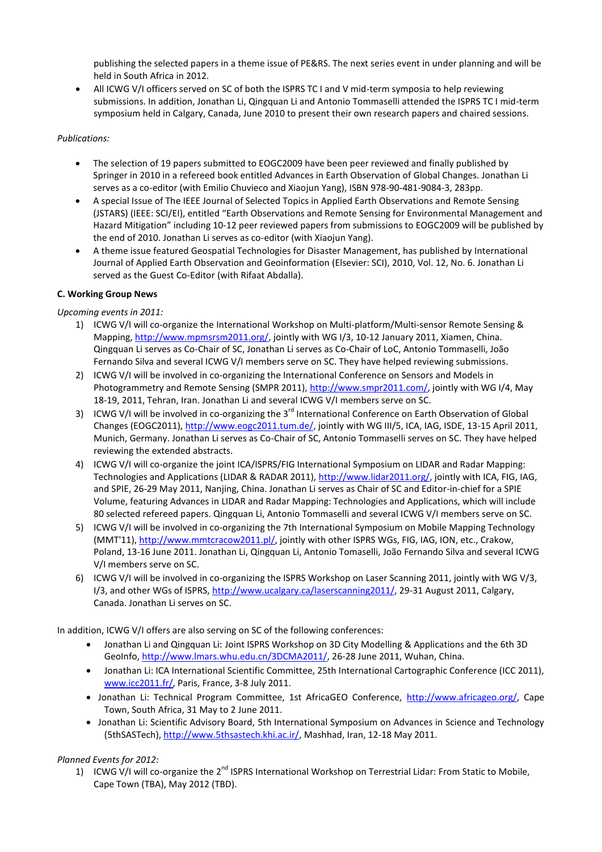publishing the selected papers in a theme issue of PE&RS. The next series event in under planning and will be held in South Africa in 2012.

 All ICWG V/I officers served on SC of both the ISPRS TC I and V mid-term symposia to help reviewing submissions. In addition, Jonathan Li, Qingquan Li and Antonio Tommaselli attended the ISPRS TC I mid-term symposium held in Calgary, Canada, June 2010 to present their own research papers and chaired sessions.

# *Publications:*

- The selection of 19 papers submitted to EOGC2009 have been peer reviewed and finally published by Springer in 2010 in a refereed book entitled Advances in Earth Observation of Global Changes. Jonathan Li serves as a co-editor (with Emilio Chuvieco and Xiaojun Yang), ISBN 978-90-481-9084-3, 283pp.
- A special Issue of The IEEE Journal of Selected Topics in Applied Earth Observations and Remote Sensing (JSTARS) (IEEE: SCI/EI), entitled "Earth Observations and Remote Sensing for Environmental Management and Hazard Mitigation" including 10-12 peer reviewed papers from submissions to EOGC2009 will be published by the end of 2010. Jonathan Li serves as co-editor (with Xiaojun Yang).
- A theme issue featured Geospatial Technologies for Disaster Management, has published by International Journal of Applied Earth Observation and Geoinformation (Elsevier: SCI), 2010, Vol. 12, No. 6. Jonathan Li served as the Guest Co-Editor (with Rifaat Abdalla).

# **C. Working Group News**

## *Upcoming events in 2011:*

- 1) ICWG V/I will co-organize the International Workshop on Multi-platform/Multi-sensor Remote Sensing & Mapping[, http://www.mpmsrsm2011.org/,](http://www.mpmsrsm2011.org/) jointly with WG I/3, 10-12 January 2011, Xiamen, China. Qingquan Li serves as Co-Chair of SC, Jonathan Li serves as Co-Chair of LoC, Antonio Tommaselli, João Fernando Silva and several ICWG V/I members serve on SC. They have helped reviewing submissions.
- 2) ICWG V/I will be involved in co-organizing the International Conference on Sensors and Models in Photogrammetry and Remote Sensing (SMPR 2011)[, http://www.smpr2011.com/,](http://www.smpr2011.com/) jointly with WG I/4, May 18-19, 2011, Tehran, Iran. Jonathan Li and several ICWG V/I members serve on SC.
- 3) ICWG V/I will be involved in co-organizing the 3<sup>rd</sup> International Conference on Earth Observation of Global Changes (EOGC2011), [http://www.eogc2011.tum.de/,](http://www.eogc2011.tum.de/) jointly with WG III/5, ICA, IAG, ISDE, 13-15 April 2011, Munich, Germany. Jonathan Li serves as Co-Chair of SC, Antonio Tommaselli serves on SC. They have helped reviewing the extended abstracts.
- 4) ICWG V/I will co-organize the joint ICA/ISPRS/FIG International Symposium on LIDAR and Radar Mapping: Technologies and Applications (LIDAR & RADAR 2011), [http://www.lidar2011.org/,](http://www.lidar2011.org/) jointly with ICA, FIG, IAG, and SPIE, 26-29 May 2011, Nanjing, China. Jonathan Li serves as Chair of SC and Editor-in-chief for a SPIE Volume, featuring Advances in LIDAR and Radar Mapping: Technologies and Applications, which will include 80 selected refereed papers. Qingquan Li, Antonio Tommaselli and several ICWG V/I members serve on SC.
- 5) ICWG V/I will be involved in co-organizing the 7th International Symposium on Mobile Mapping Technology (MMT'11), [http://www.mmtcracow2011.pl/,](http://www.mmtcracow2011.pl/) jointly with other ISPRS WGs, FIG, IAG, ION, etc., Crakow, Poland, 13-16 June 2011. Jonathan Li, Qingquan Li, Antonio Tomaselli, João Fernando Silva and several ICWG V/I members serve on SC.
- 6) ICWG V/I will be involved in co-organizing the ISPRS Workshop on Laser Scanning 2011, jointly with WG V/3, I/3, and other WGs of ISPRS, [http://www.ucalgary.ca/laserscanning2011/,](http://www.ucalgary.ca/laserscanning2011/) 29-31 August 2011, Calgary, Canada. Jonathan Li serves on SC.

In addition, ICWG V/I offers are also serving on SC of the following conferences:

- Jonathan Li and Qingquan Li: Joint ISPRS Workshop on 3D City Modelling & Applications and the 6th 3D GeoInfo[, http://www.lmars.whu.edu.cn/3DCMA2011/,](http://www.lmars.whu.edu.cn/3DCMA2011/) 26-28 June 2011, Wuhan, China.
- Jonathan Li: ICA International Scientific Committee, 25th International Cartographic Conference (ICC 2011), [www.icc2011.fr/,](http://www.icc2011.fr/) Paris, France, 3-8 July 2011.
- Jonathan Li: Technical Program Committee, 1st AfricaGEO Conference, [http://www.africageo.org/,](http://www.africageo.org/) Cape Town, South Africa, 31 May to 2 June 2011.
- Jonathan Li: Scientific Advisory Board, 5th International Symposium on Advances in Science and Technology (5thSASTech), [http://www.5thsastech.khi.ac.ir/,](http://www.5thsastech.khi.ac.ir/) Mashhad, Iran, 12-18 May 2011.

# *Planned Events for 2012:*

1) ICWG V/I will co-organize the 2<sup>nd</sup> ISPRS International Workshop on Terrestrial Lidar: From Static to Mobile, Cape Town (TBA), May 2012 (TBD).